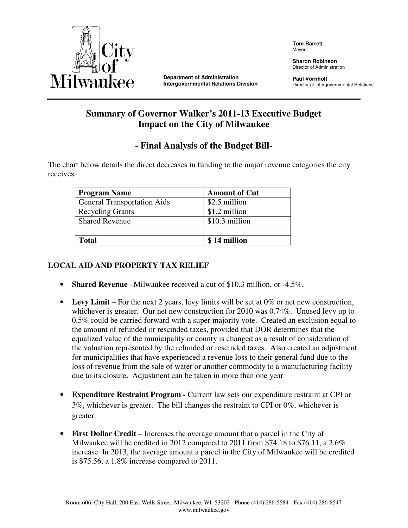

**Department of Administration Intergovernmental Relations Division**  **Tom Barrett** Mayor

**Sharon Robinson**  Director of Administration

**Paul Vornholt**  Director of Intergovernmental Relations

# **Summary of Governor Walker's 2011-13 Executive Budget Impact on the City of Milwaukee**

# **- Final Analysis of the Budget Bill-**

The chart below details the direct decreases in funding to the major revenue categories the city receives.

| <b>Program Name</b>                | <b>Amount of Cut</b> |
|------------------------------------|----------------------|
| <b>General Transportation Aids</b> | \$2.5 million        |
| <b>Recycling Grants</b>            | \$1.2 million        |
| <b>Shared Revenue</b>              | \$10.3 million       |
|                                    |                      |
| Total                              | \$14 million         |

# **LOCAL AID AND PROPERTY TAX RELIEF**

- **Shared Revenue** –Milwaukee received a cut of \$10.3 million, or -4.5%.
- **Levy Limit** For the next 2 years, levy limits will be set at 0% or net new construction, whichever is greater. Our net new construction for 2010 was 0.74%. Unused levy up to 0.5% could be carried forward with a super majority vote. Created an exclusion equal to the amount of refunded or rescinded taxes, provided that DOR determines that the equalized value of the municipality or county is changed as a result of consideration of the valuation represented by the refunded or rescinded taxes. Also created an adjustment for municipalities that have experienced a revenue loss to their general fund due to the loss of revenue from the sale of water or another commodity to a manufacturing facility due to its closure. Adjustment can be taken in more than one year
- **Expenditure Restraint Program Current law sets our expenditure restraint at CPI or** 3%, whichever is greater. The bill changes the restraint to CPI or 0%, whichever is greater.
- **First Dollar Credit** Increases the average amount that a parcel in the City of Milwaukee will be credited in 2012 compared to 2011 from \$74.18 to \$76.11, a  $2.6\%$ increase. In 2013, the average amount a parcel in the City of Milwaukee will be credited is \$75.56, a 1.8% increase compared to 2011.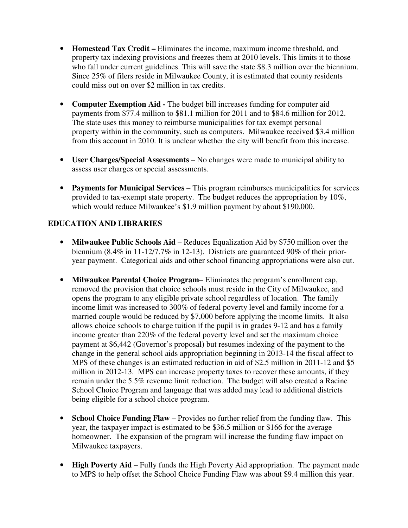- **Homestead Tax Credit –** Eliminates the income, maximum income threshold, and property tax indexing provisions and freezes them at 2010 levels. This limits it to those who fall under current guidelines. This will save the state \$8.3 million over the biennium. Since 25% of filers reside in Milwaukee County, it is estimated that county residents could miss out on over \$2 million in tax credits.
- **Computer Exemption Aid -** The budget bill increases funding for computer aid payments from \$77.4 million to \$81.1 million for 2011 and to \$84.6 million for 2012. The state uses this money to reimburse municipalities for tax exempt personal property within in the community, such as computers. Milwaukee received \$3.4 million from this account in 2010. It is unclear whether the city will benefit from this increase.
- **User Charges/Special Assessments**  No changes were made to municipal ability to assess user charges or special assessments.
- **Payments for Municipal Services**  This program reimburses municipalities for services provided to tax-exempt state property. The budget reduces the appropriation by 10%, which would reduce Milwaukee's \$1.9 million payment by about \$190,000.

# **EDUCATION AND LIBRARIES**

- **Milwaukee Public Schools Aid** Reduces Equalization Aid by \$750 million over the biennium (8.4% in 11-12/7.7% in 12-13). Districts are guaranteed 90% of their prioryear payment. Categorical aids and other school financing appropriations were also cut.
- **Milwaukee Parental Choice Program** Eliminates the program's enrollment cap, removed the provision that choice schools must reside in the City of Milwaukee, and opens the program to any eligible private school regardless of location. The family income limit was increased to 300% of federal poverty level and family income for a married couple would be reduced by \$7,000 before applying the income limits. It also allows choice schools to charge tuition if the pupil is in grades 9-12 and has a family income greater than 220% of the federal poverty level and set the maximum choice payment at \$6,442 (Governor's proposal) but resumes indexing of the payment to the change in the general school aids appropriation beginning in 2013-14 the fiscal affect to MPS of these changes is an estimated reduction in aid of \$2.5 million in 2011-12 and \$5 million in 2012-13. MPS can increase property taxes to recover these amounts, if they remain under the 5.5% revenue limit reduction. The budget will also created a Racine School Choice Program and language that was added may lead to additional districts being eligible for a school choice program.
- **School Choice Funding Flaw** Provides no further relief from the funding flaw. This year, the taxpayer impact is estimated to be \$36.5 million or \$166 for the average homeowner. The expansion of the program will increase the funding flaw impact on Milwaukee taxpayers.
- **High Poverty Aid** Fully funds the High Poverty Aid appropriation. The payment made to MPS to help offset the School Choice Funding Flaw was about \$9.4 million this year.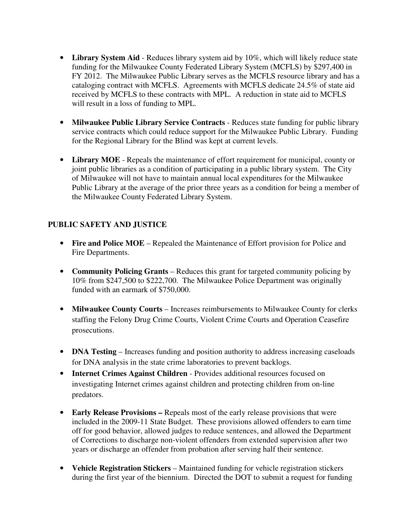- **Library System Aid** Reduces library system aid by 10%, which will likely reduce state funding for the Milwaukee County Federated Library System (MCFLS) by \$297,400 in FY 2012. The Milwaukee Public Library serves as the MCFLS resource library and has a cataloging contract with MCFLS. Agreements with MCFLS dedicate 24.5% of state aid received by MCFLS to these contracts with MPL. A reduction in state aid to MCFLS will result in a loss of funding to MPL.
- **Milwaukee Public Library Service Contracts** Reduces state funding for public library service contracts which could reduce support for the Milwaukee Public Library. Funding for the Regional Library for the Blind was kept at current levels.
- **Library MOE**  Repeals the maintenance of effort requirement for municipal, county or joint public libraries as a condition of participating in a public library system. The City of Milwaukee will not have to maintain annual local expenditures for the Milwaukee Public Library at the average of the prior three years as a condition for being a member of the Milwaukee County Federated Library System.

# **PUBLIC SAFETY AND JUSTICE**

- **Fire and Police MOE** Repealed the Maintenance of Effort provision for Police and Fire Departments.
- **Community Policing Grants** Reduces this grant for targeted community policing by 10% from \$247,500 to \$222,700. The Milwaukee Police Department was originally funded with an earmark of \$750,000.
- **Milwaukee County Courts** Increases reimbursements to Milwaukee County for clerks staffing the Felony Drug Crime Courts, Violent Crime Courts and Operation Ceasefire prosecutions.
- **DNA Testing** Increases funding and position authority to address increasing caseloads for DNA analysis in the state crime laboratories to prevent backlogs.
- **Internet Crimes Against Children**  Provides additional resources focused on investigating Internet crimes against children and protecting children from on-line predators.
- **Early Release Provisions** Repeals most of the early release provisions that were included in the 2009-11 State Budget. These provisions allowed offenders to earn time off for good behavior, allowed judges to reduce sentences, and allowed the Department of Corrections to discharge non-violent offenders from extended supervision after two years or discharge an offender from probation after serving half their sentence.
- **Vehicle Registration Stickers** Maintained funding for vehicle registration stickers during the first year of the biennium. Directed the DOT to submit a request for funding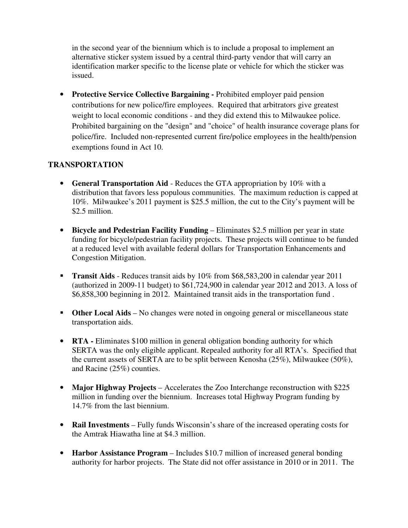in the second year of the biennium which is to include a proposal to implement an alternative sticker system issued by a central third-party vendor that will carry an identification marker specific to the license plate or vehicle for which the sticker was issued.

• **Protective Service Collective Bargaining -** Prohibited employer paid pension contributions for new police/fire employees. Required that arbitrators give greatest weight to local economic conditions - and they did extend this to Milwaukee police. Prohibited bargaining on the "design" and "choice" of health insurance coverage plans for police/fire. Included non-represented current fire/police employees in the health/pension exemptions found in Act 10.

#### **TRANSPORTATION**

- **General Transportation Aid** Reduces the GTA appropriation by 10% with a distribution that favors less populous communities. The maximum reduction is capped at 10%. Milwaukee's 2011 payment is \$25.5 million, the cut to the City's payment will be \$2.5 million.
- **Bicycle and Pedestrian Facility Funding** Eliminates \$2.5 million per year in state funding for bicycle/pedestrian facility projects. These projects will continue to be funded at a reduced level with available federal dollars for Transportation Enhancements and Congestion Mitigation.
- **Transit Aids** Reduces transit aids by 10% from \$68,583,200 in calendar year 2011 (authorized in 2009-11 budget) to \$61,724,900 in calendar year 2012 and 2013. A loss of \$6,858,300 beginning in 2012. Maintained transit aids in the transportation fund .
- **Other Local Aids** No changes were noted in ongoing general or miscellaneous state transportation aids.
- **RTA** Eliminates \$100 million in general obligation bonding authority for which SERTA was the only eligible applicant. Repealed authority for all RTA's. Specified that the current assets of SERTA are to be split between Kenosha (25%), Milwaukee (50%), and Racine (25%) counties.
- **Major Highway Projects** Accelerates the Zoo Interchange reconstruction with \$225 million in funding over the biennium. Increases total Highway Program funding by 14.7% from the last biennium.
- **Rail Investments** Fully funds Wisconsin's share of the increased operating costs for the Amtrak Hiawatha line at \$4.3 million.
- **Harbor Assistance Program** Includes \$10.7 million of increased general bonding authority for harbor projects. The State did not offer assistance in 2010 or in 2011. The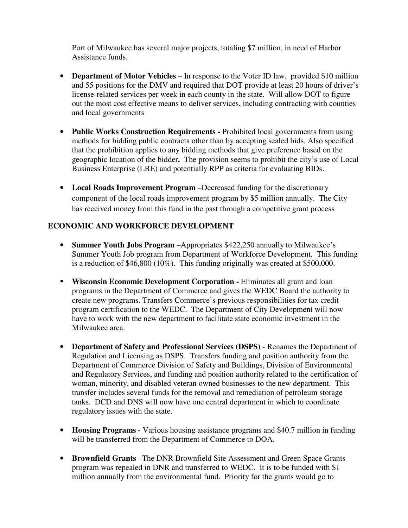Port of Milwaukee has several major projects, totaling \$7 million, in need of Harbor Assistance funds.

- **Department of Motor Vehicles** In response to the Voter ID law, provided \$10 million and 55 positions for the DMV and required that DOT provide at least 20 hours of driver's license-related services per week in each county in the state. Will allow DOT to figure out the most cost effective means to deliver services, including contracting with counties and local governments
- **Public Works Construction Requirements -** Prohibited local governments from using methods for bidding public contracts other than by accepting sealed bids. Also specified that the prohibition applies to any bidding methods that give preference based on the geographic location of the bidder**.** The provision seems to prohibit the city's use of Local Business Enterprise (LBE) and potentially RPP as criteria for evaluating BIDs.
- **Local Roads Improvement Program** –Decreased funding for the discretionary component of the local roads improvement program by \$5 million annually. The City has received money from this fund in the past through a competitive grant process

#### **ECONOMIC AND WORKFORCE DEVELOPMENT**

- **Summer Youth Jobs Program** –Appropriates \$422,250 annually to Milwaukee's Summer Youth Job program from Department of Workforce Development. This funding is a reduction of \$46,800 (10%). This funding originally was created at \$500,000.
- **Wisconsin Economic Development Corporation Eliminates all grant and loan** programs in the Department of Commerce and gives the WEDC Board the authority to create new programs. Transfers Commerce's previous responsibilities for tax credit program certification to the WEDC. The Department of City Development will now have to work with the new department to facilitate state economic investment in the Milwaukee area.
- **Department of Safety and Professional Services (DSPS)** Renames the Department of Regulation and Licensing as DSPS. Transfers funding and position authority from the Department of Commerce Division of Safety and Buildings, Division of Environmental and Regulatory Services, and funding and position authority related to the certification of woman, minority, and disabled veteran owned businesses to the new department. This transfer includes several funds for the removal and remediation of petroleum storage tanks. DCD and DNS will now have one central department in which to coordinate regulatory issues with the state.
- **Housing Programs** Various housing assistance programs and \$40.7 million in funding will be transferred from the Department of Commerce to DOA.
- **Brownfield Grants** –The DNR Brownfield Site Assessment and Green Space Grants program was repealed in DNR and transferred to WEDC. It is to be funded with \$1 million annually from the environmental fund. Priority for the grants would go to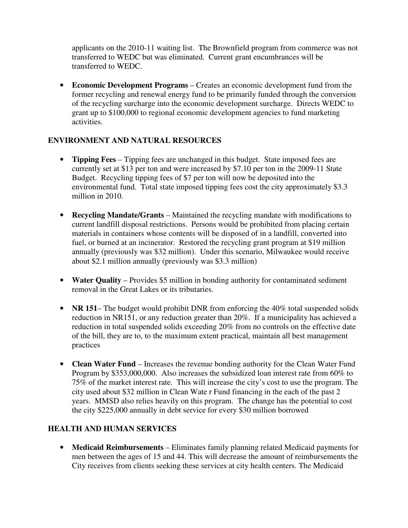applicants on the 2010-11 waiting list. The Brownfield program from commerce was not transferred to WEDC but was eliminated. Current grant encumbrances will be transferred to WEDC.

• **Economic Development Programs** – Creates an economic development fund from the former recycling and renewal energy fund to be primarily funded through the conversion of the recycling surcharge into the economic development surcharge. Directs WEDC to grant up to \$100,000 to regional economic development agencies to fund marketing activities.

# **ENVIRONMENT AND NATURAL RESOURCES**

- **Tipping Fees** Tipping fees are unchanged in this budget. State imposed fees are currently set at \$13 per ton and were increased by \$7.10 per ton in the 2009-11 State Budget. Recycling tipping fees of \$7 per ton will now be deposited into the environmental fund. Total state imposed tipping fees cost the city approximately \$3.3 million in 2010.
- **Recycling Mandate/Grants** Maintained the recycling mandate with modifications to current landfill disposal restrictions. Persons would be prohibited from placing certain materials in containers whose contents will be disposed of in a landfill, converted into fuel, or burned at an incinerator. Restored the recycling grant program at \$19 million annually (previously was \$32 million). Under this scenario, Milwaukee would receive about \$2.1 million annually (previously was \$3.3 million)
- **Water Quality** Provides \$5 million in bonding authority for contaminated sediment removal in the Great Lakes or its tributaries.
- **NR 151** The budget would prohibit DNR from enforcing the 40% total suspended solids reduction in NR151, or any reduction greater than 20%. If a municipality has achieved a reduction in total suspended solids exceeding 20% from no controls on the effective date of the bill, they are to, to the maximum extent practical, maintain all best management practices
- **Clean Water Fund**  Increases the revenue bonding authority for the Clean Water Fund Program by \$353,000,000. Also increases the subsidized loan interest rate from 60% to 75% of the market interest rate. This will increase the city's cost to use the program. The city used about \$32 million in Clean Wate r Fund financing in the each of the past 2 years. MMSD also relies heavily on this program. The change has the potential to cost the city \$225,000 annually in debt service for every \$30 million borrowed

# **HEALTH AND HUMAN SERVICES**

• **Medicaid Reimbursements** – Eliminates family planning related Medicaid payments for men between the ages of 15 and 44. This will decrease the amount of reimbursements the City receives from clients seeking these services at city health centers. The Medicaid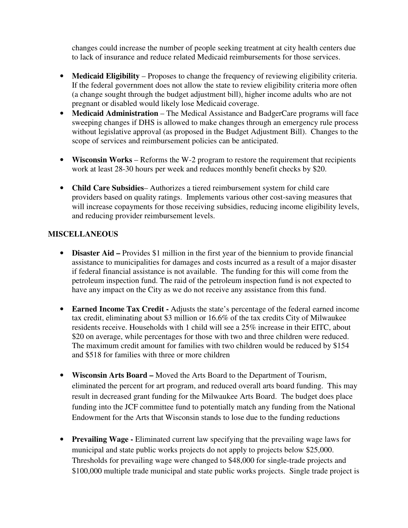changes could increase the number of people seeking treatment at city health centers due to lack of insurance and reduce related Medicaid reimbursements for those services.

- **Medicaid Eligibility** Proposes to change the frequency of reviewing eligibility criteria. If the federal government does not allow the state to review eligibility criteria more often (a change sought through the budget adjustment bill), higher income adults who are not pregnant or disabled would likely lose Medicaid coverage.
- **Medicaid Administration** The Medical Assistance and BadgerCare programs will face sweeping changes if DHS is allowed to make changes through an emergency rule process without legislative approval (as proposed in the Budget Adjustment Bill). Changes to the scope of services and reimbursement policies can be anticipated.
- **Wisconsin Works** Reforms the W-2 program to restore the requirement that recipients work at least 28-30 hours per week and reduces monthly benefit checks by \$20.
- **Child Care Subsidies** Authorizes a tiered reimbursement system for child care providers based on quality ratings. Implements various other cost-saving measures that will increase copayments for those receiving subsidies, reducing income eligibility levels, and reducing provider reimbursement levels.

#### **MISCELLANEOUS**

- **Disaster Aid –** Provides \$1 million in the first year of the biennium to provide financial assistance to municipalities for damages and costs incurred as a result of a major disaster if federal financial assistance is not available. The funding for this will come from the petroleum inspection fund. The raid of the petroleum inspection fund is not expected to have any impact on the City as we do not receive any assistance from this fund.
- **Earned Income Tax Credit** Adjusts the state's percentage of the federal earned income tax credit, eliminating about \$3 million or 16.6% of the tax credits City of Milwaukee residents receive. Households with 1 child will see a 25% increase in their EITC, about \$20 on average, while percentages for those with two and three children were reduced. The maximum credit amount for families with two children would be reduced by \$154 and \$518 for families with three or more children
- **Wisconsin Arts Board** Moved the Arts Board to the Department of Tourism, eliminated the percent for art program, and reduced overall arts board funding. This may result in decreased grant funding for the Milwaukee Arts Board. The budget does place funding into the JCF committee fund to potentially match any funding from the National Endowment for the Arts that Wisconsin stands to lose due to the funding reductions
- **Prevailing Wage -** Eliminated current law specifying that the prevailing wage laws for municipal and state public works projects do not apply to projects below \$25,000. Thresholds for prevailing wage were changed to \$48,000 for single-trade projects and \$100,000 multiple trade municipal and state public works projects. Single trade project is